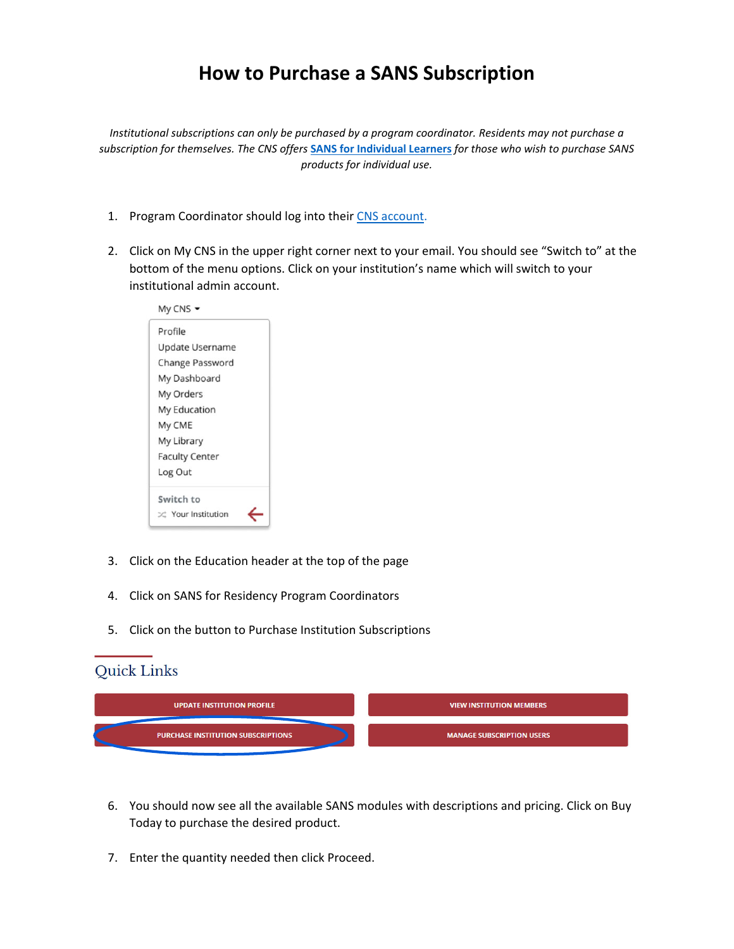# **How to Purchase a SANS Subscription**

*Institutional subscriptions can only be purchased by a program coordinator. Residents may not purchase a* subscription for themselves. The CNS offers SANS for Individual Learners for those who wish to purchase SANS *products for individual use.*

- 1. Program Coordinator should log into their CNS account.
- 2. Click on My CNS in the upper right corner next to your email. You should see "Switch to" at the bottom of the menu options. Click on your institution's name which will switch to your institutional admin account.

| My CNS                |  |
|-----------------------|--|
| Profile               |  |
| Update Username       |  |
| Change Password       |  |
| My Dashboard          |  |
| My Orders             |  |
| My Education          |  |
| My CME                |  |
| My Library            |  |
| <b>Faculty Center</b> |  |
| Log Out               |  |
| Switch to             |  |
| C Your Institution    |  |

- 3. Click on the Education header at the top of the page
- 4. Click on SANS for Residency Program Coordinators
- 5. Click on the button to Purchase Institution Subscriptions

## Quick Links

| <b>UPDATE INSTITUTION PROFILE</b>         | <b>VIEW INSTITUTION MEMBERS</b>  |
|-------------------------------------------|----------------------------------|
| <b>PURCHASE INSTITUTION SUBSCRIPTIONS</b> | <b>MANAGE SUBSCRIPTION USERS</b> |
|                                           |                                  |

- 6. You should now see all the available SANS modules with descriptions and pricing. Click on Buy Today to purchase the desired product.
- 7. Enter the quantity needed then click Proceed.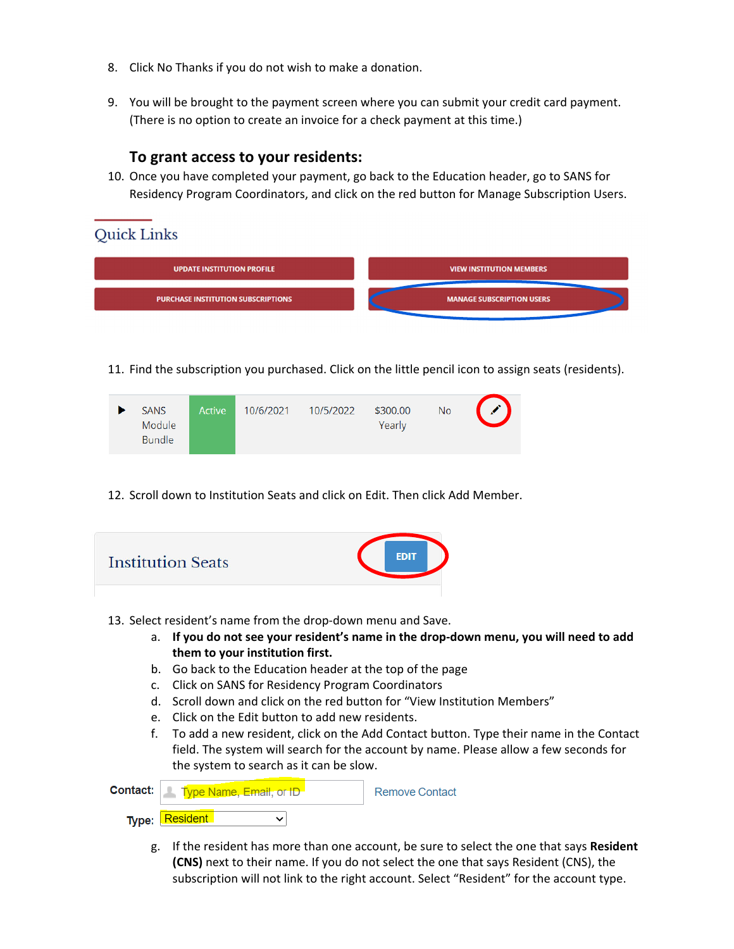- 8. Click No Thanks if you do not wish to make a donation.
- 9. You will be brought to the payment screen where you can submit your credit card payment. (There is no option to create an invoice for a check payment at this time.)

#### **To grant access to your residents:**

10. Once you have completed your payment, go back to the Education header, go to SANS for Residency Program Coordinators, and click on the red button for Manage Subscription Users.

## Quick Links



11. Find the subscription you purchased. Click on the little pencil icon to assign seats (residents).

| <b>SANS</b><br>Module<br><b>Bundle</b> | Active | 10/6/2021 | 10/5/2022 | \$300.00<br>Yearly | <b>No</b> |  |
|----------------------------------------|--------|-----------|-----------|--------------------|-----------|--|
|                                        |        |           |           |                    |           |  |

12. Scroll down to Institution Seats and click on Edit. Then click Add Member.

| EDIT<br><b>Institution Seats</b>                                                                                                                                                                                                                                                                                                                                                                                                                                                                                                                                                                                                                                                                                   |
|--------------------------------------------------------------------------------------------------------------------------------------------------------------------------------------------------------------------------------------------------------------------------------------------------------------------------------------------------------------------------------------------------------------------------------------------------------------------------------------------------------------------------------------------------------------------------------------------------------------------------------------------------------------------------------------------------------------------|
| 13. Select resident's name from the drop-down menu and Save.<br>If you do not see your resident's name in the drop-down menu, you will need to add<br>a.<br>them to your institution first.<br>Go back to the Education header at the top of the page<br>b.<br>Click on SANS for Residency Program Coordinators<br>$\mathsf{C}$ .<br>Scroll down and click on the red button for "View Institution Members"<br>d.<br>Click on the Edit button to add new residents.<br>$e_{1}$<br>f.<br>To add a new resident, click on the Add Contact button. Type their name in the Contact<br>field. The system will search for the account by name. Please allow a few seconds for<br>the system to search as it can be slow. |
| Contact:<br>Type Name, Email, or ID<br><b>Remove Contact</b><br><b>Resident</b><br>Type:<br>╰                                                                                                                                                                                                                                                                                                                                                                                                                                                                                                                                                                                                                      |
| If the resident has more than one account, be sure to select the one that says Resident<br>g.<br>(CNS) next to their name. If you do not select the one that says Resident (CNS), the                                                                                                                                                                                                                                                                                                                                                                                                                                                                                                                              |

subscription will not link to the right account. Select "Resident" for the account type.